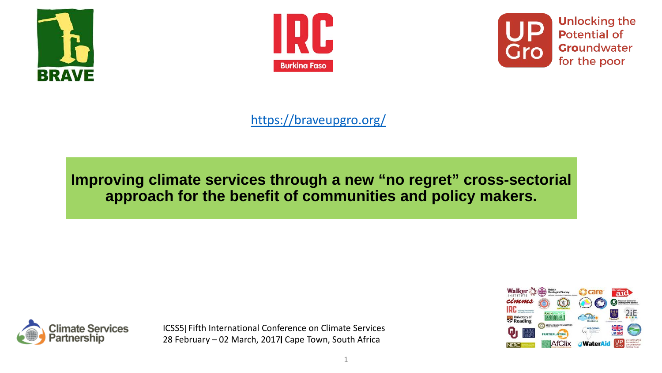





#### <https://braveupgro.org/>

## **Improving climate services through a new "no regret" cross-sectorial approach for the benefit of communities and policy makers.**



ICSS5 Fifth International Conference on Climate Services 28 February - 02 March, 2017 Cape Town, South Africa

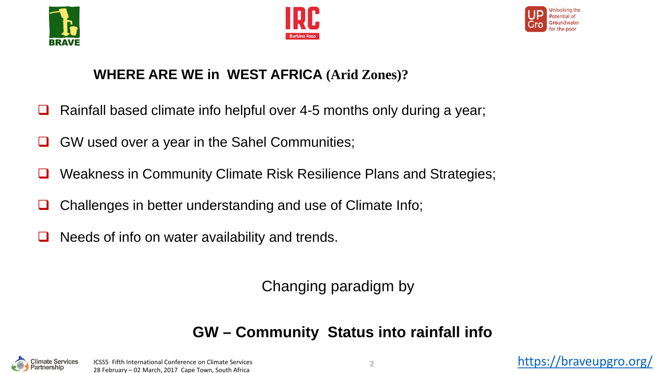





#### **WHERE ARE WE in WEST AFRICA (Arid Zones)?**

- $\Box$  Rainfall based climate info helpful over 4-5 months only during a year;
- GW used over a year in the Sahel Communities;
- **□** Weakness in Community Climate Risk Resilience Plans and Strategies;
- Challenges in better understanding and use of Climate Info;
- $\Box$  Needs of info on water availability and trends.

Changing paradigm by

# **GW – Community Status into rainfall info**

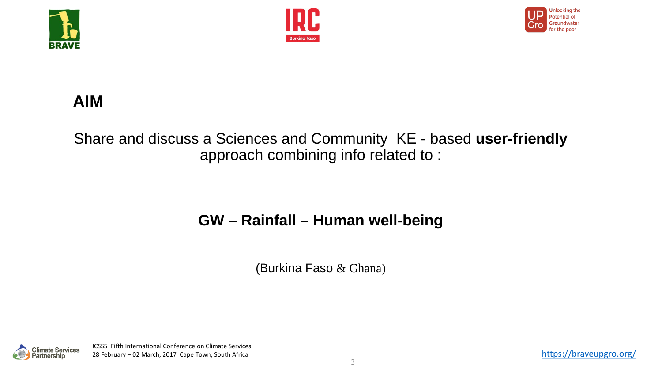





# **AIM**

### Share and discuss a Sciences and Community KE - based **user-friendly** approach combining info related to :

## **GW – Rainfall – Human well-being**

(Burkina Faso & Ghana)

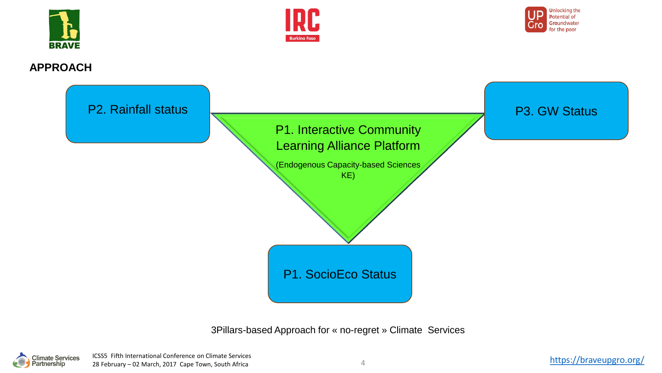





#### **APPROACH**



3Pillars-based Approach for « no-regret » Climate Services

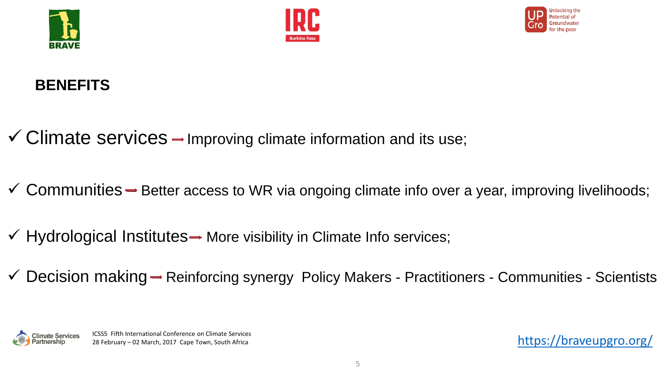





## **BENEFITS**

- $\checkmark$  Climate services  $\to$  Improving climate information and its use;
- $\checkmark$  Communities  $\Rightarrow$  Better access to WR via ongoing climate info over a year, improving livelihoods;
- $\checkmark$  Hydrological Institutes  $\to$  More visibility in Climate Info services;
- $\checkmark$  Decision making  $\Rightarrow$  Reinforcing synergy Policy Makers Practitioners Communities Scientists